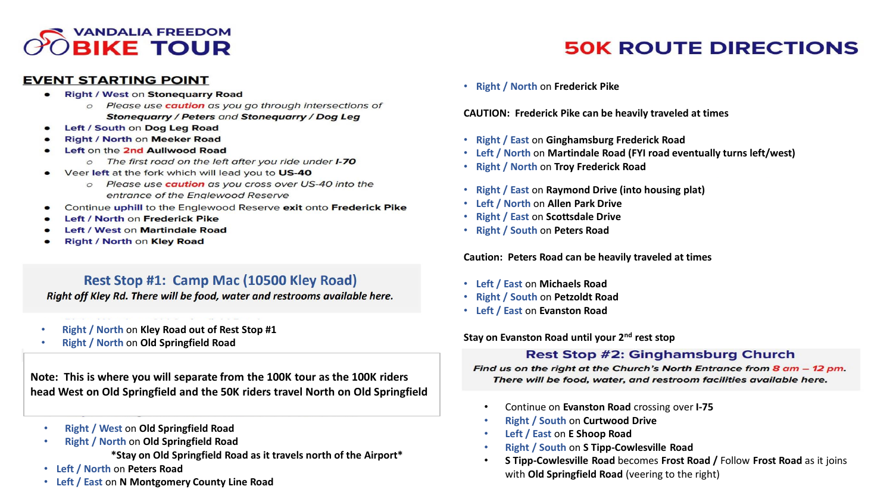## **VANDALIA FREEDOM OBIKE TOUR**

#### **EVENT STARTING POINT**

- **Right / West on Stoneguarry Road** 
	- o Please use **caution** as you go through intersections of **Stonequarry / Peters and Stonequarry / Dog Leg**
- Left / South on Dog Leg Road
- **Right / North on Meeker Road**
- Left on the 2nd Aullwood Road
	- o The first road on the left after you ride under **I-70**
- Veer left at the fork which will lead you to US-40
	- o Please use **caution** as you cross over US-40 into the entrance of the Englewood Reserve
- Continue uphill to the Englewood Reserve exit onto Frederick Pike
- Left / North on Frederick Pike
- Left / West on Martindale Road
- Right / North on Kley Road

## Rest Stop #1: Camp Mac (10500 Kley Road)

Right off Kley Rd. There will be food, water and restrooms available here.

- **Right / North** on **Kley Road out of Rest Stop #1**
- **Right / North** on **Old Springfield Road**

**Note: This is where you will separate from the 100K tour as the 100K riders head West on Old Springfield and the 50K riders travel North on Old Springfield**

- **Right / West** on **Old Springfield Road**
- **Right / North** on **Old Springfield Road**

**\*Stay on Old Springfield Road as it travels north of the Airport\***

- **Left / North** on **Peters Road**
- **Left / East** on **N Montgomery County Line Road**

• **Right / North** on **Frederick Pike**

**CAUTION: Frederick Pike can be heavily traveled at times**

- **Right / East** on **Ginghamsburg Frederick Road**
- **Left / North** on **Martindale Road (FYI road eventually turns left/west)**
- **Right / North** on **Troy Frederick Road**
- **Right / East** on **Raymond Drive (into housing plat)**
- **Left / North** on **Allen Park Drive**
- **Right / East** on **Scottsdale Drive**
- **Right / South** on **Peters Road**

**Caution: Peters Road can be heavily traveled at times**

- **Left / East** on **Michaels Road**
- **Right / South** on **Petzoldt Road**
- **Left / East** on **Evanston Road**

**Stay on Evanston Road until your 2nd rest stop**

## **Rest Stop #2: Ginghamsburg Church**

Find us on the right at the Church's North Entrance from 8 am - 12 pm. There will be food, water, and restroom facilities available here.

- Continue on **Evanston Road** crossing over **I-75**
- **Right / South** on **Curtwood Drive**
- **Left / East** on **E Shoop Road**
- **Right / South** on **S Tipp-Cowlesville Road**
- **S Tipp-Cowlesville Road** becomes **Frost Road /** Follow **Frost Road** as it joins with **Old Springfield Road** (veering to the right)

# **50K ROUTE DIRECTIONS**